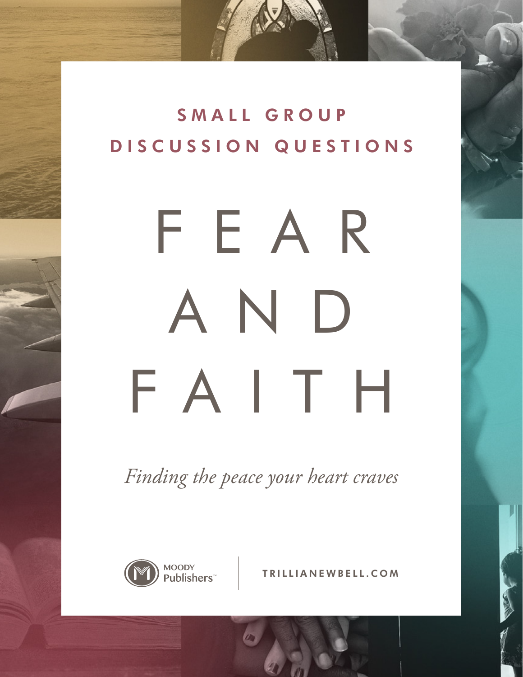SMALL GROUP DISCUSSION QUESTIONS

# FEAR AND FAITH

*Finding the peace your heart craves*



TRILLIANEWBELL.COM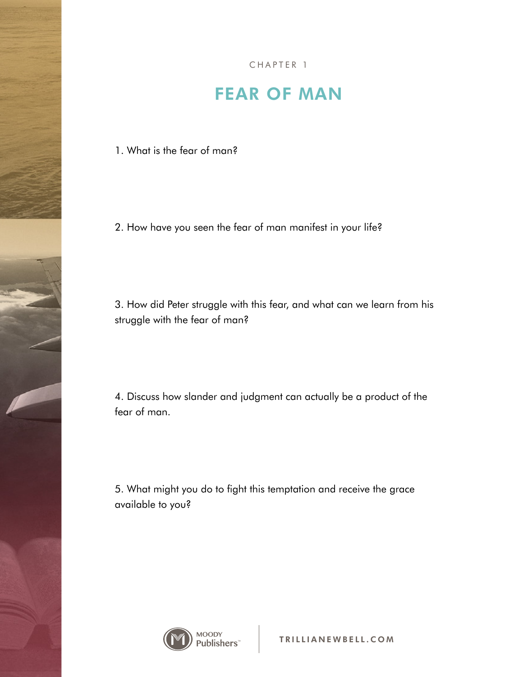### FEAR OF MAN

1. What is the fear of man?

2. How have you seen the fear of man manifest in your life?

3. How did Peter struggle with this fear, and what can we learn from his struggle with the fear of man?

4. Discuss how slander and judgment can actually be a product of the fear of man.

5. What might you do to fight this temptation and receive the grace available to you?

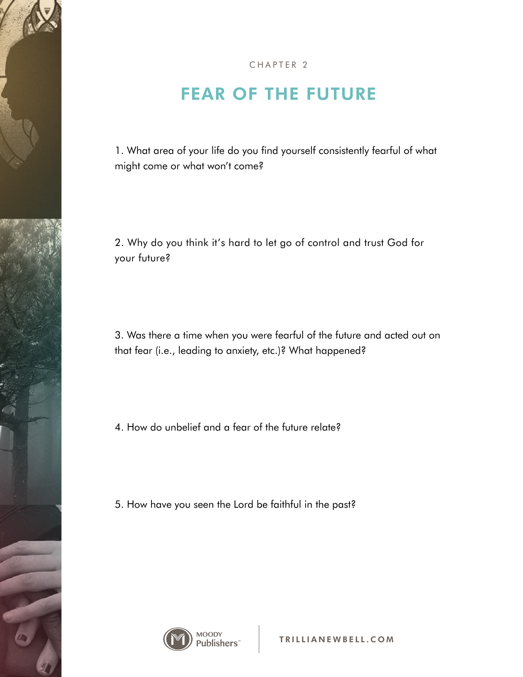### FEAR OF THE FUTURE

1. What area of your life do you find yourself consistently fearful of what might come or what won't come?

2. Why do you think it's hard to let go of control and trust God for your future?

3. Was there a time when you were fearful of the future and acted out on that fear (i.e., leading to anxiety, etc.)? What happened?

4. How do unbelief and a fear of the future relate?

5. How have you seen the Lord be faithful in the past?

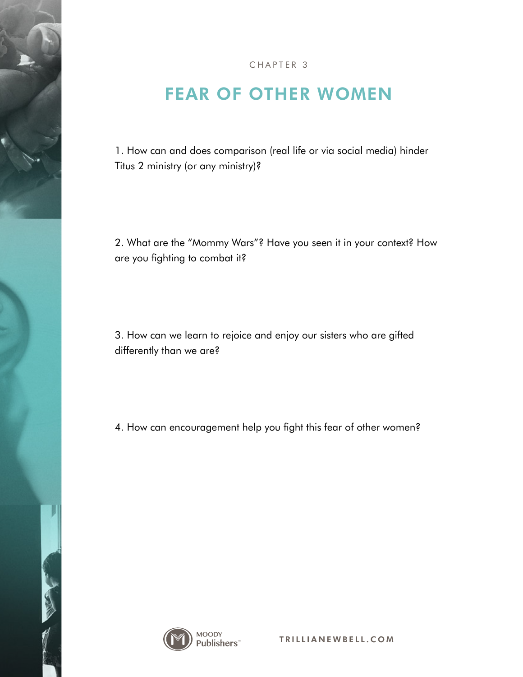## FEAR OF OTHER WOMEN

1. How can and does comparison (real life or via social media) hinder Titus 2 ministry (or any ministry)?

2. What are the "Mommy Wars"? Have you seen it in your context? How are you fighting to combat it?

3. How can we learn to rejoice and enjoy our sisters who are gifted differently than we are?

4. How can encouragement help you fight this fear of other women?



**CONSIGN**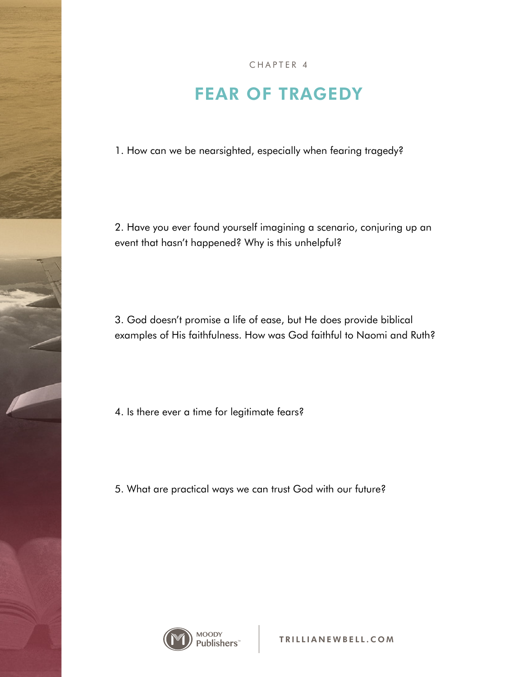CHAPTER 4

#### FEAR OF TRAGEDY

1. How can we be nearsighted, especially when fearing tragedy?

2. Have you ever found yourself imagining a scenario, conjuring up an event that hasn't happened? Why is this unhelpful?

3. God doesn't promise a life of ease, but He does provide biblical examples of His faithfulness. How was God faithful to Naomi and Ruth?

4. Is there ever a time for legitimate fears?

5. What are practical ways we can trust God with our future?

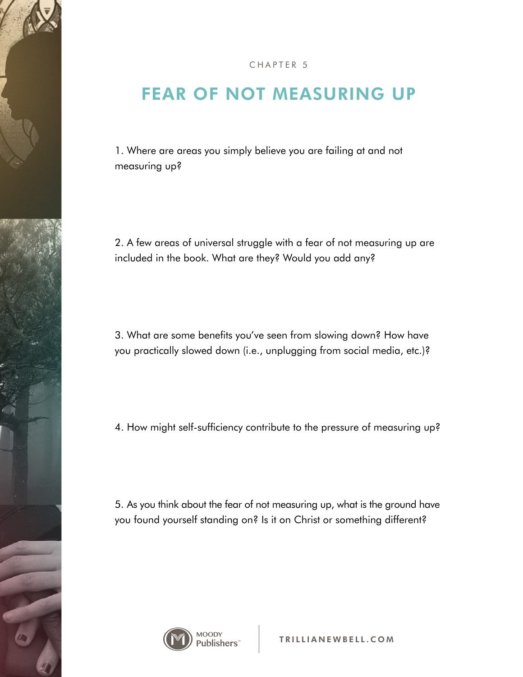### FEAR OF NOT MEASURING UP

1. Where are areas you simply believe you are failing at and not measuring up?

2. A few areas of universal struggle with a fear of not measuring up are included in the book. What are they? Would you add any?

3. What are some benefits you've seen from slowing down? How have you practically slowed down (i.e., unplugging from social media, etc.)?

4. How might self-sufficiency contribute to the pressure of measuring up?

5. As you think about the fear of not measuring up, what is the ground have you found yourself standing on? Is it on Christ or something different?

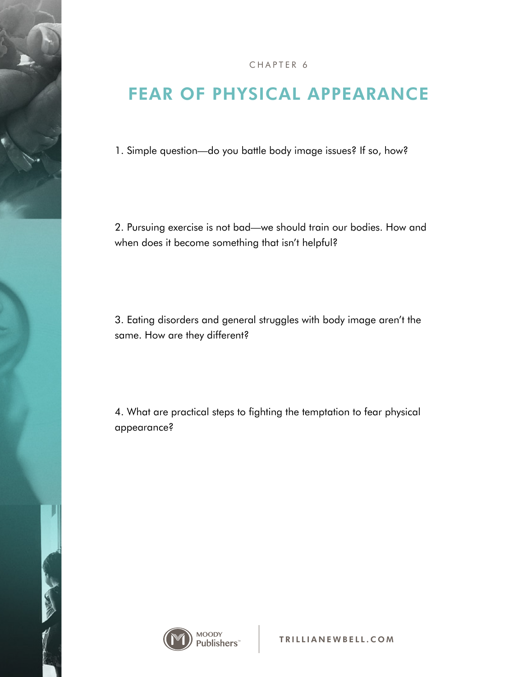### FEAR OF PHYSICAL APPEARANCE

1. Simple question—do you battle body image issues? If so, how?

2. Pursuing exercise is not bad—we should train our bodies. How and when does it become something that isn't helpful?

3. Eating disorders and general struggles with body image aren't the same. How are they different?

4. What are practical steps to fighting the temptation to fear physical appearance?



**CONSIGNATION**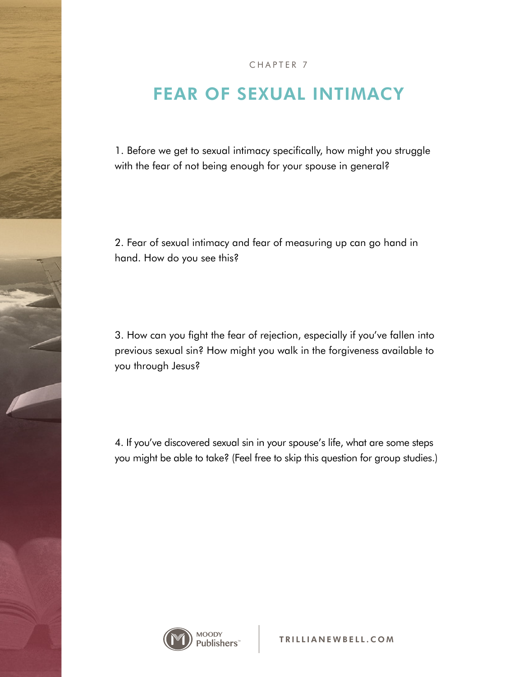#### FEAR OF SEXUAL INTIMACY

1. Before we get to sexual intimacy specifically, how might you struggle with the fear of not being enough for your spouse in general?

2. Fear of sexual intimacy and fear of measuring up can go hand in hand. How do you see this?

3. How can you fight the fear of rejection, especially if you've fallen into previous sexual sin? How might you walk in the forgiveness available to you through Jesus?

4. If you've discovered sexual sin in your spouse's life, what are some steps you might be able to take? (Feel free to skip this question for group studies.)

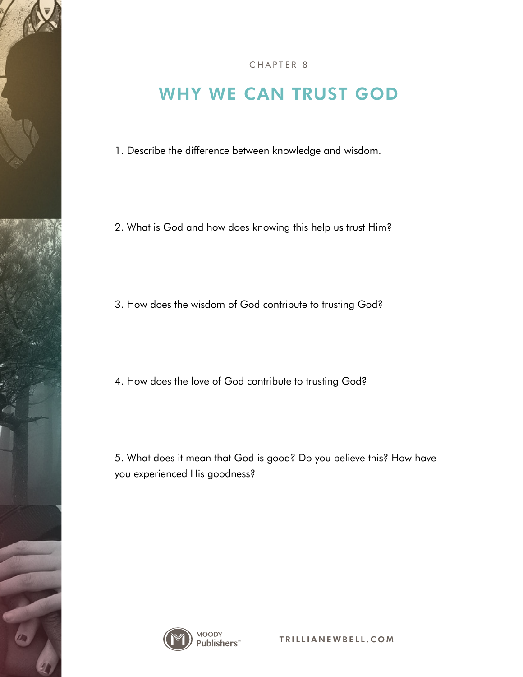

#### CHAPTER 8

### WHY WE CAN TRUST GOD

1. Describe the difference between knowledge and wisdom.

2. What is God and how does knowing this help us trust Him?

3. How does the wisdom of God contribute to trusting God?

4. How does the love of God contribute to trusting God?

5. What does it mean that God is good? Do you believe this? How have you experienced His goodness?

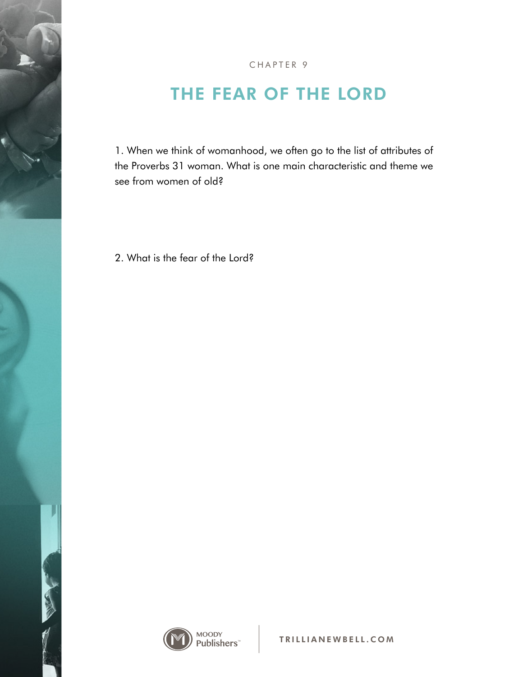

# THE FEAR OF THE LORD

1. When we think of womanhood, we often go to the list of attributes of the Proverbs 31 woman. What is one main characteristic and theme we see from women of old?

2. What is the fear of the Lord?



**CONSIGN**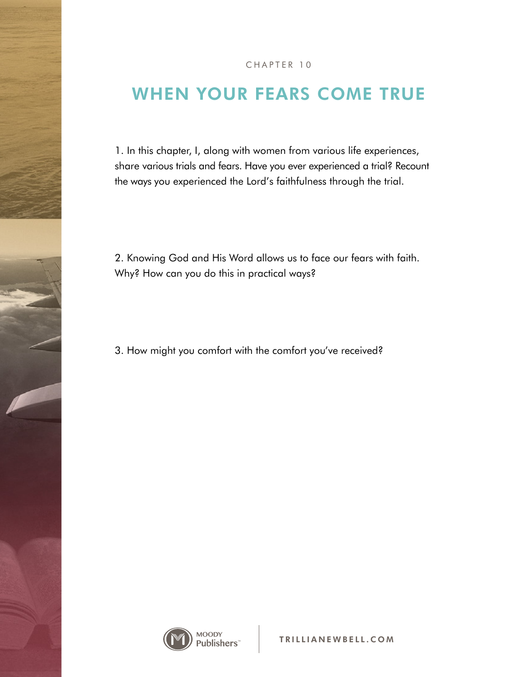### WHEN YOUR FEARS COME TRUE

1. In this chapter, I, along with women from various life experiences, share various trials and fears. Have you ever experienced a trial? Recount the ways you experienced the Lord's faithfulness through the trial.

2. Knowing God and His Word allows us to face our fears with faith. Why? How can you do this in practical ways?

3. How might you comfort with the comfort you've received?